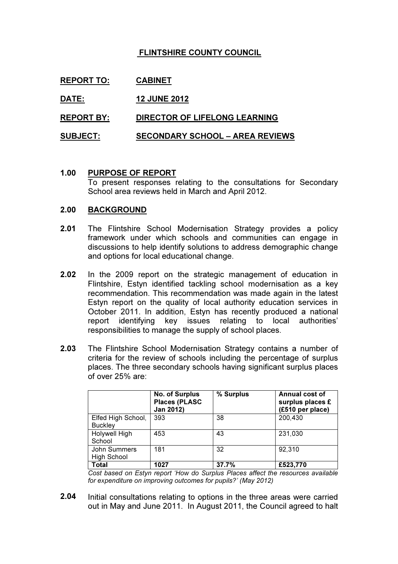# FLINTSHIRE COUNTY COUNCIL

| <b>REPORT TO:</b> | <b>CABINET</b>                         |
|-------------------|----------------------------------------|
| DATE:             | <b>12 JUNE 2012</b>                    |
| <b>REPORT BY:</b> | <b>DIRECTOR OF LIFELONG LEARNING</b>   |
| <b>SUBJECT:</b>   | <b>SECONDARY SCHOOL - AREA REVIEWS</b> |

### 1.00 PURPOSE OF REPORT

To present responses relating to the consultations for Secondary School area reviews held in March and April 2012.

#### 2.00 BACKGROUND

- 2.01 The Flintshire School Modernisation Strategy provides a policy framework under which schools and communities can engage in discussions to help identify solutions to address demographic change and options for local educational change.
- 2.02 In the 2009 report on the strategic management of education in Flintshire, Estyn identified tackling school modernisation as a key recommendation. This recommendation was made again in the latest Estyn report on the quality of local authority education services in October 2011. In addition, Estyn has recently produced a national report identifying key issues relating to local authorities' responsibilities to manage the supply of school places.
- 2.03 The Flintshire School Modernisation Strategy contains a number of criteria for the review of schools including the percentage of surplus places. The three secondary schools having significant surplus places of over 25% are:

|                                      | <b>No. of Surplus</b><br><b>Places (PLASC</b><br>Jan 2012) | % Surplus | Annual cost of<br>surplus places £<br>(£510 per place) |
|--------------------------------------|------------------------------------------------------------|-----------|--------------------------------------------------------|
| Elfed High School,<br><b>Buckley</b> | 393                                                        | 38        | 200,430                                                |
| Holywell High<br>School              | 453                                                        | 43        | 231,030                                                |
| John Summers<br><b>High School</b>   | 181                                                        | 32        | 92,310                                                 |
| Total                                | 1027                                                       | 37.7%     | £523,770                                               |

Cost based on Estyn report 'How do Surplus Places affect the resources available for expenditure on improving outcomes for pupils?' (May 2012)

2.04 Initial consultations relating to options in the three areas were carried out in May and June 2011. In August 2011, the Council agreed to halt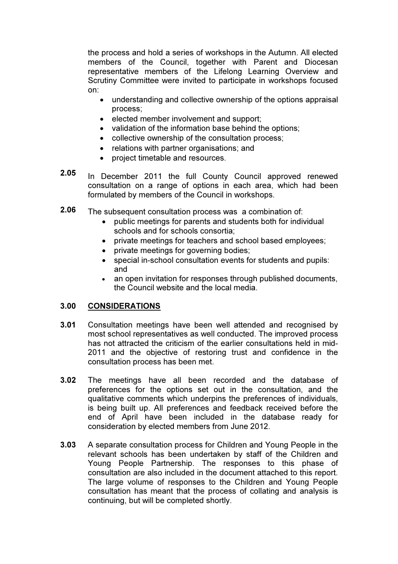the process and hold a series of workshops in the Autumn. All elected members of the Council, together with Parent and Diocesan representative members of the Lifelong Learning Overview and Scrutiny Committee were invited to participate in workshops focused on:

- understanding and collective ownership of the options appraisal process;
- elected member involvement and support;
- validation of the information base behind the options;
- collective ownership of the consultation process;
- relations with partner organisations; and
- project timetable and resources.
- 2.05 In December 2011 the full County Council approved renewed consultation on a range of options in each area, which had been formulated by members of the Council in workshops.
- 2.06 The subsequent consultation process was a combination of:
	- public meetings for parents and students both for individual schools and for schools consortia;
	- private meetings for teachers and school based employees;
	- private meetings for governing bodies;
	- special in-school consultation events for students and pupils: and
	- an open invitation for responses through published documents, the Council website and the local media.

#### 3.00 CONSIDERATIONS

- 3.01 Consultation meetings have been well attended and recognised by most school representatives as well conducted. The improved process has not attracted the criticism of the earlier consultations held in mid-2011 and the objective of restoring trust and confidence in the consultation process has been met.
- 3.02 The meetings have all been recorded and the database of preferences for the options set out in the consultation, and the qualitative comments which underpins the preferences of individuals, is being built up. All preferences and feedback received before the end of April have been included in the database ready for consideration by elected members from June 2012.
- 3.03 A separate consultation process for Children and Young People in the relevant schools has been undertaken by staff of the Children and Young People Partnership. The responses to this phase of consultation are also included in the document attached to this report. The large volume of responses to the Children and Young People consultation has meant that the process of collating and analysis is continuing, but will be completed shortly.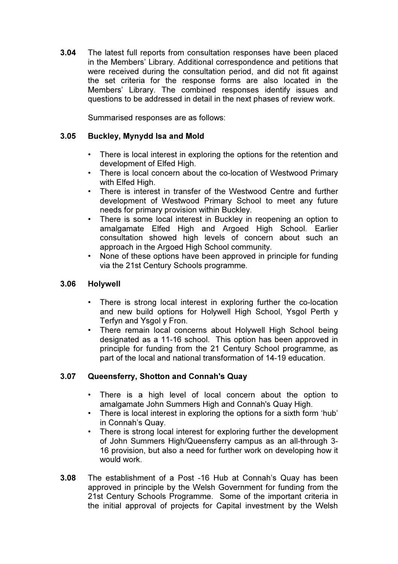3.04 The latest full reports from consultation responses have been placed in the Members' Library. Additional correspondence and petitions that were received during the consultation period, and did not fit against the set criteria for the response forms are also located in the Members' Library. The combined responses identify issues and questions to be addressed in detail in the next phases of review work.

Summarised responses are as follows:

#### 3.05 Buckley, Mynydd Isa and Mold

- There is local interest in exploring the options for the retention and development of Elfed High.
- There is local concern about the co-location of Westwood Primary with Elfed High.
- There is interest in transfer of the Westwood Centre and further development of Westwood Primary School to meet any future needs for primary provision within Buckley.
- There is some local interest in Buckley in reopening an option to amalgamate Elfed High and Argoed High School. Earlier consultation showed high levels of concern about such an approach in the Argoed High School community.
- None of these options have been approved in principle for funding via the 21st Century Schools programme.

#### 3.06 Holywell

- There is strong local interest in exploring further the co-location and new build options for Holywell High School, Ysgol Perth y Terfyn and Ysgol y Fron.
- There remain local concerns about Holywell High School being designated as a 11-16 school. This option has been approved in principle for funding from the 21 Century School programme, as part of the local and national transformation of 14-19 education.

#### 3.07 Queensferry, Shotton and Connah's Quay

- There is a high level of local concern about the option to amalgamate John Summers High and Connah's Quay High.
- There is local interest in exploring the options for a sixth form 'hub' in Connah's Quay.
- There is strong local interest for exploring further the development of John Summers High/Queensferry campus as an all-through 3- 16 provision, but also a need for further work on developing how it would work.
- 3.08 The establishment of a Post -16 Hub at Connah's Quay has been approved in principle by the Welsh Government for funding from the 21st Century Schools Programme. Some of the important criteria in the initial approval of projects for Capital investment by the Welsh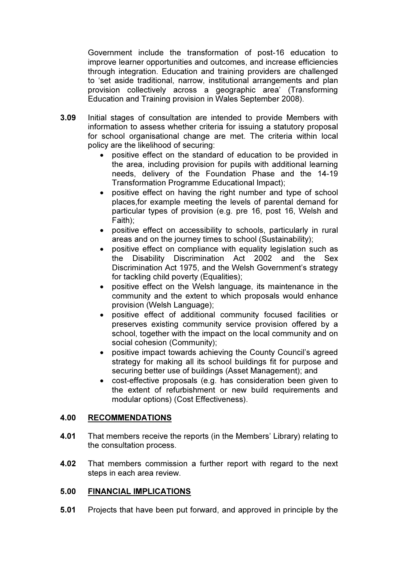Government include the transformation of post-16 education to improve learner opportunities and outcomes, and increase efficiencies through integration. Education and training providers are challenged to 'set aside traditional, narrow, institutional arrangements and plan provision collectively across a geographic area' (Transforming Education and Training provision in Wales September 2008).

- 3.09 Initial stages of consultation are intended to provide Members with information to assess whether criteria for issuing a statutory proposal for school organisational change are met. The criteria within local policy are the likelihood of securing:
	- positive effect on the standard of education to be provided in the area, including provision for pupils with additional learning needs, delivery of the Foundation Phase and the 14-19 Transformation Programme Educational Impact);
	- positive effect on having the right number and type of school places,for example meeting the levels of parental demand for particular types of provision (e.g. pre 16, post 16, Welsh and Faith);
	- positive effect on accessibility to schools, particularly in rural areas and on the journey times to school (Sustainability);
	- positive effect on compliance with equality legislation such as the Disability Discrimination Act 2002 and the Sex Discrimination Act 1975, and the Welsh Government's strategy for tackling child poverty (Equalities);
	- positive effect on the Welsh language, its maintenance in the community and the extent to which proposals would enhance provision (Welsh Language);
	- positive effect of additional community focused facilities or preserves existing community service provision offered by a school, together with the impact on the local community and on social cohesion (Community);
	- positive impact towards achieving the County Council's agreed strategy for making all its school buildings fit for purpose and securing better use of buildings (Asset Management); and
	- cost-effective proposals (e.g. has consideration been given to the extent of refurbishment or new build requirements and modular options) (Cost Effectiveness).

#### 4.00 RECOMMENDATIONS

- 4.01 That members receive the reports (in the Members' Library) relating to the consultation process.
- 4.02 That members commission a further report with regard to the next steps in each area review.

#### 5.00 FINANCIAL IMPLICATIONS

5.01 Projects that have been put forward, and approved in principle by the